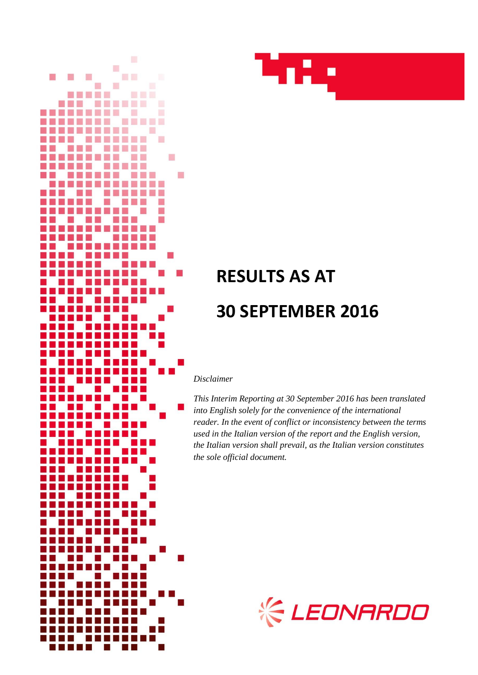



# **RESULTS AS AT 30 SEPTEMBER 2016**

*Disclaimer*

*This Interim Reporting at 30 September 2016 has been translated into English solely for the convenience of the international reader. In the event of conflict or inconsistency between the terms used in the Italian version of the report and the English version, the Italian version shall prevail, as the Italian version constitutes the sole official document.*

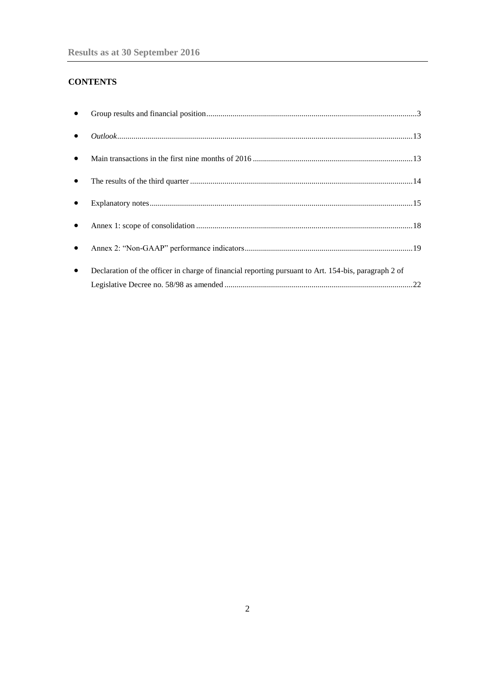# **CONTENTS**

| $\bullet$ |                                                                                                      |  |
|-----------|------------------------------------------------------------------------------------------------------|--|
| $\bullet$ |                                                                                                      |  |
| $\bullet$ |                                                                                                      |  |
| $\bullet$ |                                                                                                      |  |
| $\bullet$ |                                                                                                      |  |
| $\bullet$ |                                                                                                      |  |
| $\bullet$ | Declaration of the officer in charge of financial reporting pursuant to Art. 154-bis, paragraph 2 of |  |
|           |                                                                                                      |  |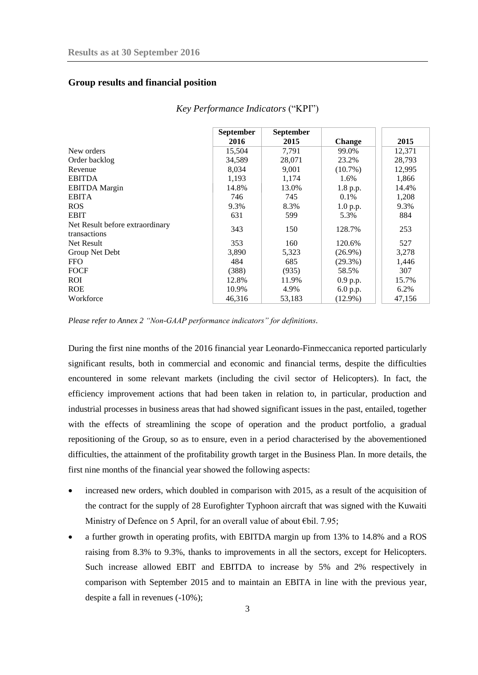## <span id="page-2-0"></span>**Group results and financial position**

|                                                 | September | <b>September</b> |               |        |
|-------------------------------------------------|-----------|------------------|---------------|--------|
|                                                 | 2016      | 2015             | <b>Change</b> | 2015   |
| New orders                                      | 15,504    | 7.791            | 99.0%         | 12,371 |
| Order backlog                                   | 34,589    | 28,071           | 23.2%         | 28,793 |
| Revenue                                         | 8,034     | 9,001            | $(10.7\%)$    | 12,995 |
| <b>EBITDA</b>                                   | 1,193     | 1,174            | 1.6%          | 1,866  |
| <b>EBITDA</b> Margin                            | 14.8%     | 13.0%            | 1.8 p.p.      | 14.4%  |
| <b>EBITA</b>                                    | 746       | 745              | $0.1\%$       | 1,208  |
| <b>ROS</b>                                      | 9.3%      | 8.3%             | 1.0 p.p.      | 9.3%   |
| <b>EBIT</b>                                     | 631       | 599              | 5.3%          | 884    |
| Net Result before extraordinary<br>transactions | 343       | 150              | 128.7%        | 253    |
| Net Result                                      | 353       | 160              | 120.6%        | 527    |
| Group Net Debt                                  | 3,890     | 5,323            | $(26.9\%)$    | 3,278  |
| <b>FFO</b>                                      | 484       | 685              | $(29.3\%)$    | 1,446  |
| <b>FOCF</b>                                     | (388)     | (935)            | 58.5%         | 307    |
| <b>ROI</b>                                      | 12.8%     | 11.9%            | 0.9 p.p.      | 15.7%  |
| <b>ROE</b>                                      | 10.9%     | 4.9%             | 6.0 p.p.      | 6.2%   |
| Workforce                                       | 46,316    | 53,183           | $(12.9\%)$    | 47,156 |

#### *Key Performance Indicators* ("KPI")

*Please refer to Annex 2 "Non-GAAP performance indicators" for definitions.*

During the first nine months of the 2016 financial year Leonardo-Finmeccanica reported particularly significant results, both in commercial and economic and financial terms, despite the difficulties encountered in some relevant markets (including the civil sector of Helicopters). In fact, the efficiency improvement actions that had been taken in relation to, in particular, production and industrial processes in business areas that had showed significant issues in the past, entailed, together with the effects of streamlining the scope of operation and the product portfolio, a gradual repositioning of the Group, so as to ensure, even in a period characterised by the abovementioned difficulties, the attainment of the profitability growth target in the Business Plan. In more details, the first nine months of the financial year showed the following aspects:

- increased new orders, which doubled in comparison with 2015, as a result of the acquisition of the contract for the supply of 28 [Eurofighter Typhoon](http://www.finmeccanica.com/-/eurofighter-typhoon) aircraft that was signed with the Kuwaiti Ministry of Defence on 5 April, for an overall value of about €bil. 7.95;
- a further growth in operating profits, with EBITDA margin up from 13% to 14.8% and a ROS raising from 8.3% to 9.3%, thanks to improvements in all the sectors, except for Helicopters. Such increase allowed EBIT and EBITDA to increase by 5% and 2% respectively in comparison with September 2015 and to maintain an EBITA in line with the previous year, despite a fall in revenues (-10%);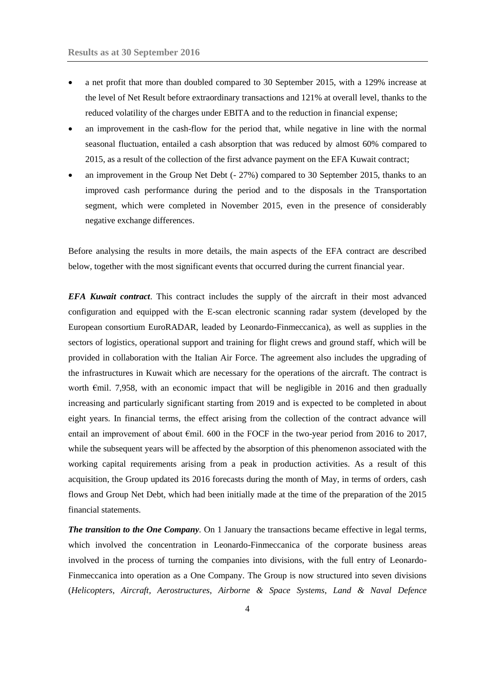- a net profit that more than doubled compared to 30 September 2015, with a 129% increase at the level of Net Result before extraordinary transactions and 121% at overall level, thanks to the reduced volatility of the charges under EBITA and to the reduction in financial expense;
- an improvement in the cash-flow for the period that, while negative in line with the normal seasonal fluctuation, entailed a cash absorption that was reduced by almost 60% compared to 2015, as a result of the collection of the first advance payment on the EFA Kuwait contract;
- an improvement in the Group Net Debt (- 27%) compared to 30 September 2015, thanks to an improved cash performance during the period and to the disposals in the Transportation segment, which were completed in November 2015, even in the presence of considerably negative exchange differences.

Before analysing the results in more details, the main aspects of the EFA contract are described below, together with the most significant events that occurred during the current financial year.

*EFA Kuwait contract*. This contract includes the supply of the aircraft in their most advanced configuration and equipped with the E-scan electronic scanning radar system (developed by the European consortium EuroRADAR, leaded by Leonardo-Finmeccanica), as well as supplies in the sectors of logistics, operational support and training for flight crews and ground staff, which will be provided in collaboration with the Italian Air Force. The agreement also includes the upgrading of the infrastructures in Kuwait which are necessary for the operations of the aircraft. The contract is worth  $\epsilon$ mil. 7,958, with an economic impact that will be negligible in 2016 and then gradually increasing and particularly significant starting from 2019 and is expected to be completed in about eight years. In financial terms, the effect arising from the collection of the contract advance will entail an improvement of about  $\epsilon$ mil. 600 in the FOCF in the two-year period from 2016 to 2017, while the subsequent years will be affected by the absorption of this phenomenon associated with the working capital requirements arising from a peak in production activities. As a result of this acquisition, the Group updated its 2016 forecasts during the month of May, in terms of orders, cash flows and Group Net Debt, which had been initially made at the time of the preparation of the 2015 financial statements.

*The transition to the One Company.* On 1 January the transactions became effective in legal terms, which involved the concentration in Leonardo-Finmeccanica of the corporate business areas involved in the process of turning the companies into divisions, with the full entry of Leonardo-Finmeccanica into operation as a One Company. The Group is now structured into seven divisions (*Helicopters*, *Aircraft, Aerostructures*, *Airborne & Space Systems*, *Land & Naval Defence*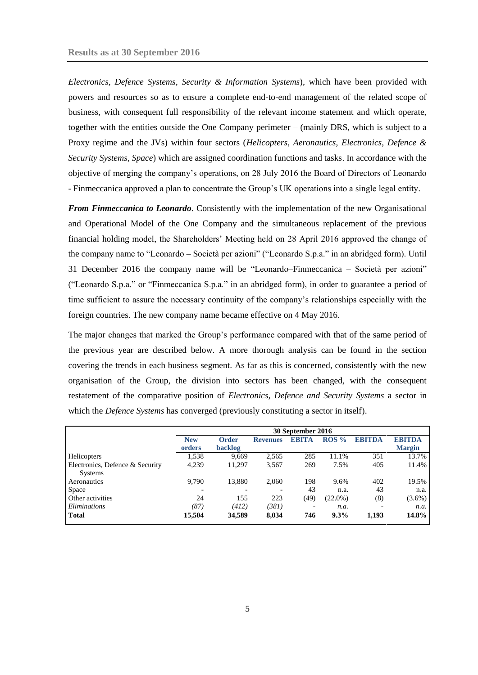*Electronics*, *Defence Systems*, *Security & Information Systems*), which have been provided with powers and resources so as to ensure a complete end-to-end management of the related scope of business, with consequent full responsibility of the relevant income statement and which operate, together with the entities outside the One Company perimeter – (mainly DRS, which is subject to a Proxy regime and the JVs) within four sectors (*Helicopters*, *Aeronautics*, *Electronics, Defence & Security Systems*, *Space*) which are assigned coordination functions and tasks. In accordance with the objective of merging the company's operations, on 28 July 2016 the Board of Directors of Leonardo - Finmeccanica approved a plan to concentrate the Group's UK operations into a single legal entity.

*From Finmeccanica to Leonardo*. Consistently with the implementation of the new Organisational and Operational Model of the One Company and the simultaneous replacement of the previous financial holding model, the Shareholders' Meeting held on 28 April 2016 approved the change of the company name to "Leonardo – Società per azioni" ("Leonardo S.p.a." in an abridged form). Until 31 December 2016 the company name will be "Leonardo–Finmeccanica – Società per azioni" ("Leonardo S.p.a." or "Finmeccanica S.p.a." in an abridged form), in order to guarantee a period of time sufficient to assure the necessary continuity of the company's relationships especially with the foreign countries. The new company name became effective on 4 May 2016.

The major changes that marked the Group's performance compared with that of the same period of the previous year are described below. A more thorough analysis can be found in the section covering the trends in each business segment. As far as this is concerned, consistently with the new organisation of the Group, the division into sectors has been changed, with the consequent restatement of the comparative position of *Electronics, Defence and Security Systems* a sector in which the *Defence Systems* has converged (previously constituting a sector in itself).

|                                                   |            | 30 September 2016 |                 |              |            |               |               |
|---------------------------------------------------|------------|-------------------|-----------------|--------------|------------|---------------|---------------|
|                                                   | <b>New</b> | <b>Order</b>      | <b>Revenues</b> | <b>EBITA</b> | $ROS\%$    | <b>EBITDA</b> | <b>EBITDA</b> |
|                                                   | orders     | <b>backlog</b>    |                 |              |            |               | <b>Margin</b> |
| Helicopters                                       | 1,538      | 9,669             | 2,565           | 285          | 11.1%      | 351           | 13.7%         |
| Electronics, Defence & Security<br><b>Systems</b> | 4,239      | 11,297            | 3,567           | 269          | 7.5%       | 405           | 11.4%         |
| Aeronautics                                       | 9,790      | 13,880            | 2,060           | 198          | 9.6%       | 402           | 19.5%         |
| <b>Space</b>                                      |            |                   | -               | 43           | n.a.       | 43            | n.a.          |
| Other activities                                  | 24         | 155               | 223             | (49)         | $(22.0\%)$ | (8)           | $(3.6\%)$     |
| Eliminations                                      | (87)       | (412)             | (381)           |              | n.a.       |               | n.a.          |
| <b>Total</b>                                      | 15,504     | 34,589            | 8,034           | 746          | 9.3%       | 1,193         | 14.8%         |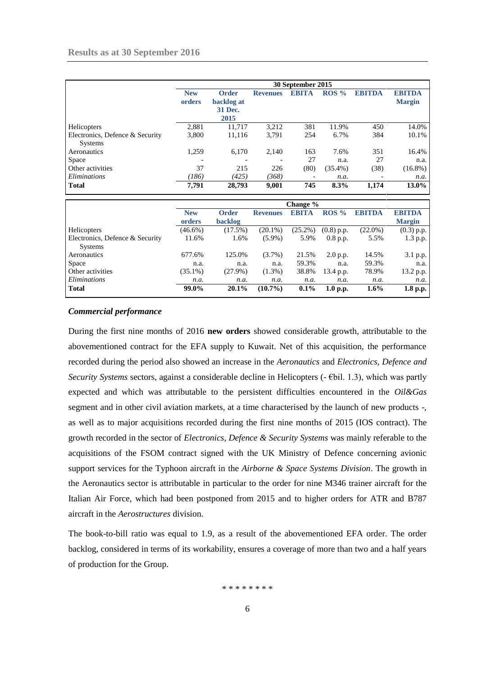|                                                   | 30 September 2015        |                                        |                          |              |            |               |                                |  |
|---------------------------------------------------|--------------------------|----------------------------------------|--------------------------|--------------|------------|---------------|--------------------------------|--|
|                                                   | <b>New</b><br>orders     | Order<br>backlog at<br>31 Dec.<br>2015 | <b>Revenues</b>          | <b>EBITA</b> | $ROS\%$    | <b>EBITDA</b> | <b>EBITDA</b><br><b>Margin</b> |  |
| Helicopters                                       | 2,881                    | 11.717                                 | 3,212                    | 381          | 11.9%      | 450           | 14.0%                          |  |
| Electronics, Defence & Security<br><b>Systems</b> | 3.800                    | 11,116                                 | 3,791                    | 254          | 6.7%       | 384           | 10.1%                          |  |
| Aeronautics                                       | 1,259                    | 6,170                                  | 2,140                    | 163          | 7.6%       | 351           | 16.4%                          |  |
| Space                                             | $\overline{\phantom{0}}$ | $\overline{\phantom{a}}$               | $\overline{\phantom{a}}$ | 27           | n.a.       | 27            | n.a.                           |  |
| Other activities                                  | 37                       | 215                                    | 226                      | (80)         | $(35.4\%)$ | (38)          | $(16.8\%)$                     |  |
| Eliminations                                      | (186)                    | (425)                                  | (368)                    |              | n.a.       |               | n.a.                           |  |
| <b>Total</b>                                      | 7,791                    | 28,793                                 | 9,001                    | 745          | 8.3%       | 1,174         | $13.0\%$                       |  |

|                                 |            |                |                 | Change $\%$  |              |               |               |
|---------------------------------|------------|----------------|-----------------|--------------|--------------|---------------|---------------|
|                                 | <b>New</b> | Order          | <b>Revenues</b> | <b>EBITA</b> | $ROS\%$      | <b>EBITDA</b> | <b>EBITDA</b> |
|                                 | orders     | <b>backlog</b> |                 |              |              |               | <b>Margin</b> |
| <b>Helicopters</b>              | $(46.6\%)$ | (17.5%)        | $(20.1\%)$      | $(25.2\%)$   | $(0.8)$ p.p. | $(22.0\%)$    | $(0.3)$ p.p.  |
| Electronics, Defence & Security | 11.6%      | 1.6%           | $(5.9\%)$       | 5.9%         | $0.8$ p.p.   | 5.5%          | 1.3 p.p.      |
| <b>Systems</b>                  |            |                |                 |              |              |               |               |
| Aeronautics                     | 677.6%     | 125.0%         | $(3.7\%)$       | 21.5%        | 2.0 p.p.     | 14.5%         | 3.1 p.p.      |
| <b>Space</b>                    | n.a.       | n.a.           | n.a.            | 59.3%        | n.a.         | 59.3%         | n.a.          |
| Other activities                | $(35.1\%)$ | $(27.9\%)$     | $(1.3\%)$       | 38.8%        | 13.4 p.p.    | 78.9%         | 13.2 p.p.     |
| <i>Eliminations</i>             | n.a.       | n.a.           | n.a.            | n.a.         | n.a.         | n.a.          | n.a.          |
| <b>Total</b>                    | 99.0%      | $20.1\%$       | $(10.7\%)$      | $0.1\%$      | 1.0 p.p.     | $1.6\%$       | 1.8 p.p.      |

## *Commercial performance*

During the first nine months of 2016 **new orders** showed considerable growth, attributable to the abovementioned contract for the EFA supply to Kuwait. Net of this acquisition, the performance recorded during the period also showed an increase in the *Aeronautics* and *Electronics, Defence and Security Systems* sectors, against a considerable decline in Helicopters (- €bil. 1.3), which was partly expected and which was attributable to the persistent difficulties encountered in the *Oil&Gas* segment and in other civil aviation markets, at a time characterised by the launch of new products -, as well as to major acquisitions recorded during the first nine months of 2015 (IOS contract). The growth recorded in the sector of *Electronics, Defence & Security Systems* was mainly referable to the acquisitions of the FSOM contract signed with the UK Ministry of Defence concerning avionic support services for the Typhoon aircraft in the *Airborne & Space Systems Division*. The growth in the Aeronautics sector is attributable in particular to the order for nine M346 trainer aircraft for the Italian Air Force, which had been postponed from 2015 and to higher orders for ATR and B787 aircraft in the *Aerostructures* division.

The book-to-bill ratio was equal to 1.9, as a result of the abovementioned EFA order. The order backlog, considered in terms of its workability, ensures a coverage of more than two and a half years of production for the Group.

\* \* \* \* \* \* \* \*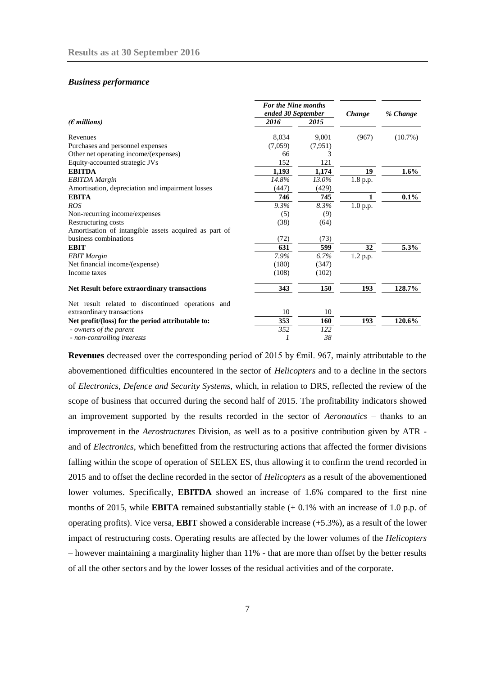#### *Business performance*

|                                                       |         | <b>For the Nine months</b><br>ended 30 September |          | % Change   |
|-------------------------------------------------------|---------|--------------------------------------------------|----------|------------|
| $(\epsilon$ millions)                                 | 2016    | 2015                                             |          |            |
| Revenues                                              | 8,034   | 9.001                                            | (967)    | $(10.7\%)$ |
| Purchases and personnel expenses                      | (7,059) | (7,951)                                          |          |            |
| Other net operating income/(expenses)                 | 66      | 3                                                |          |            |
| Equity-accounted strategic JVs                        | 152     | 121                                              |          |            |
| <b>EBITDA</b>                                         | 1.193   | 1.174                                            | 19       | $1.6\%$    |
| <b>EBITDA</b> Margin                                  | 14.8%   | 13.0%                                            | 1.8 p.p. |            |
| Amortisation, depreciation and impairment losses      | (447)   | (429)                                            |          |            |
| <b>EBITA</b>                                          | 746     | 745                                              | 1        | $0.1\%$    |
| <b>ROS</b>                                            | 9.3%    | 8.3%                                             | 1.0 p.p. |            |
| Non-recurring income/expenses                         | (5)     | (9)                                              |          |            |
| Restructuring costs                                   | (38)    | (64)                                             |          |            |
| Amortisation of intangible assets acquired as part of |         |                                                  |          |            |
| business combinations                                 | (72)    | (73)                                             |          |            |
| <b>EBIT</b>                                           | 631     | 599                                              | 32       | 5.3%       |
| <b>EBIT</b> Margin                                    | 7.9%    | 6.7%                                             | 1.2 p.p. |            |
| Net financial income/(expense)                        | (180)   | (347)                                            |          |            |
| Income taxes                                          | (108)   | (102)                                            |          |            |
| <b>Net Result before extraordinary transactions</b>   | 343     | 150                                              | 193      | 128.7%     |
| Net result related to discontinued operations and     |         |                                                  |          |            |
| extraordinary transactions                            | 10      | 10                                               |          |            |
| Net profit/(loss) for the period attributable to:     | 353     | 160                                              | 193      | 120.6%     |
| - owners of the parent                                | 352     | 122                                              |          |            |
| - non-controlling interests                           | 1       | 38                                               |          |            |

**Revenues** decreased over the corresponding period of 2015 by €mil. 967, mainly attributable to the abovementioned difficulties encountered in the sector of *Helicopters* and to a decline in the sectors of *Electronics, Defence and Security Systems*, which, in relation to DRS, reflected the review of the scope of business that occurred during the second half of 2015. The profitability indicators showed an improvement supported by the results recorded in the sector of *Aeronautics* – thanks to an improvement in the *Aerostructures* Division, as well as to a positive contribution given by ATR and of *Electronics*, which benefitted from the restructuring actions that affected the former divisions falling within the scope of operation of SELEX ES, thus allowing it to confirm the trend recorded in 2015 and to offset the decline recorded in the sector of *Helicopters* as a result of the abovementioned lower volumes. Specifically, **EBITDA** showed an increase of 1.6% compared to the first nine months of 2015, while **EBITA** remained substantially stable (+ 0.1% with an increase of 1.0 p.p. of operating profits). Vice versa, **EBIT** showed a considerable increase (+5.3%), as a result of the lower impact of restructuring costs. Operating results are affected by the lower volumes of the *Helicopters* – however maintaining a marginality higher than 11% - that are more than offset by the better results of all the other sectors and by the lower losses of the residual activities and of the corporate.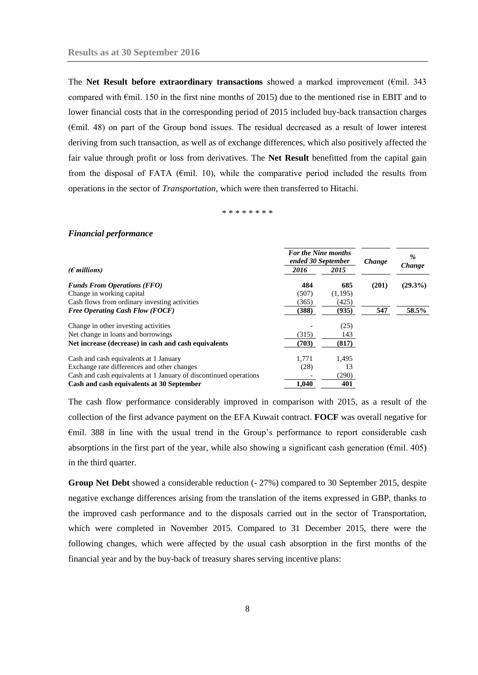The **Net Result before extraordinary transactions** showed a marked improvement (€mil. 343 compared with €mil. 150 in the first nine months of 2015) due to the mentioned rise in EBIT and to lower financial costs that in the corresponding period of 2015 included buy-back transaction charges (€mil. 48) on part of the Group bond issues. The residual decreased as a result of lower interest deriving from such transaction, as well as of exchange differences, which also positively affected the fair value through profit or loss from derivatives. The **Net Result** benefitted from the capital gain from the disposal of FATA ( $\epsilon$ mil. 10), while the comparative period included the results from operations in the sector of *Transportation*, which were then transferred to Hitachi.

\* \* \* \* \* \* \* \*

#### *Financial performance*

|                                                                   | <b>For the Nine months</b><br>ended 30 September |         | Change | $\%$       |
|-------------------------------------------------------------------|--------------------------------------------------|---------|--------|------------|
| ( $\epsilon$ millions)                                            | 2016                                             | 2015    |        | Change     |
| <b>Funds From Operations (FFO)</b>                                | 484                                              | 685     | (201)  | $(29.3\%)$ |
| Change in working capital                                         | (507)                                            | (1,195) |        |            |
| Cash flows from ordinary investing activities                     | (365)                                            | (425)   |        |            |
| <b>Free Operating Cash Flow (FOCF)</b>                            | (388)                                            | (935)   | 547    | 58.5%      |
| Change in other investing activities                              |                                                  | (25)    |        |            |
| Net change in loans and borrowings                                | (315)                                            | 143     |        |            |
| Net increase (decrease) in cash and cash equivalents              | (703)                                            | (817)   |        |            |
| Cash and cash equivalents at 1 January                            | 1.771                                            | 1,495   |        |            |
| Exchange rate differences and other changes                       | (28)                                             | 13      |        |            |
| Cash and cash equivalents at 1 January of discontinued operations |                                                  | (290)   |        |            |
| Cash and cash equivalents at 30 September                         | 1,040                                            | 401     |        |            |

The cash flow performance considerably improved in comparison with 2015, as a result of the collection of the first advance payment on the EFA Kuwait contract. **FOCF** was overall negative for €mil. 388 in line with the usual trend in the Group's performance to report considerable cash absorptions in the first part of the year, while also showing a significant cash generation ( $\epsilon$ mil. 405) in the third quarter.

**Group Net Debt** showed a considerable reduction (- 27%) compared to 30 September 2015, despite negative exchange differences arising from the translation of the items expressed in GBP, thanks to the improved cash performance and to the disposals carried out in the sector of Transportation, which were completed in November 2015. Compared to 31 December 2015, there were the following changes, which were affected by the usual cash absorption in the first months of the financial year and by the buy-back of treasury shares serving incentive plans: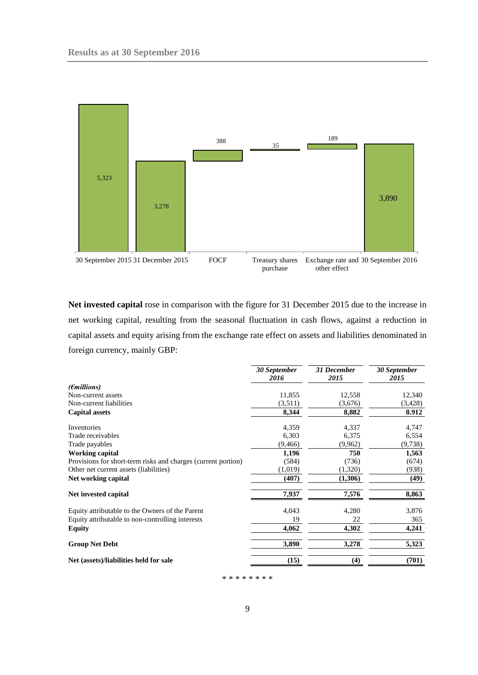

**Net invested capital** rose in comparison with the figure for 31 December 2015 due to the increase in net working capital, resulting from the seasonal fluctuation in cash flows, against a reduction in capital assets and equity arising from the exchange rate effect on assets and liabilities denominated in foreign currency, mainly GBP:

|                                                               | <b>30 September</b><br>2016 | 31 December<br>2015 | 30 September<br>2015 |
|---------------------------------------------------------------|-----------------------------|---------------------|----------------------|
| $(\epsilon$ millions)                                         |                             |                     |                      |
| Non-current assets                                            | 11,855                      | 12,558              | 12,340               |
| Non-current liabilities                                       | (3,511)                     | (3,676)             | (3,428)              |
| <b>Capital assets</b>                                         | 8,344                       | 8,882               | 8.912                |
| Inventories                                                   | 4,359                       | 4,337               | 4,747                |
| Trade receivables                                             | 6,303                       | 6,375               | 6,554                |
| Trade payables                                                | (9, 466)                    | (9,962)             | (9, 738)             |
| <b>Working capital</b>                                        | 1,196                       | 750                 | 1,563                |
| Provisions for short-term risks and charges (current portion) | (584)                       | (736)               | (674)                |
| Other net current assets (liabilities)                        | (1,019)                     | (1,320)             | (938)                |
| Net working capital                                           | (407)                       | (1,306)             | (49)                 |
| Net invested capital                                          | 7,937                       | 7,576               | 8,863                |
| Equity attributable to the Owners of the Parent               | 4,043                       | 4,280               | 3,876                |
| Equity attributable to non-controlling interests              | 19                          | 22                  | 365                  |
| Equity                                                        | 4,062                       | 4,302               | 4,241                |
| <b>Group Net Debt</b>                                         | 3,890                       | 3,278               | 5,323                |
| Net (assets)/liabilities held for sale                        | (15)                        | (4)                 | (701)                |

\* \* \* \* \* \* \* \*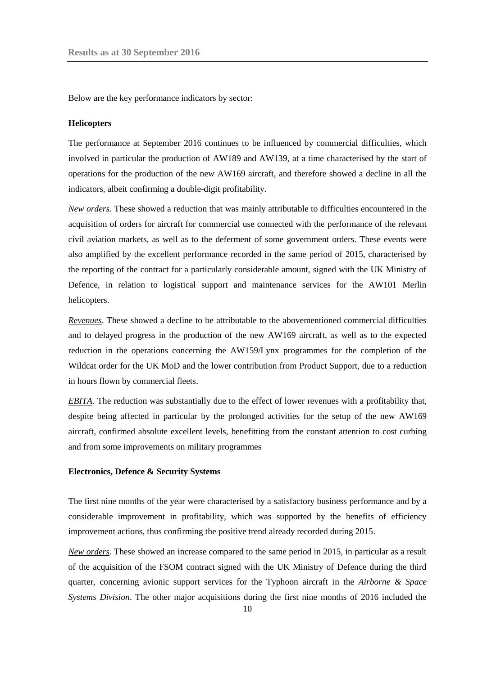Below are the key performance indicators by sector:

#### **Helicopters**

The performance at September 2016 continues to be influenced by commercial difficulties, which involved in particular the production of AW189 and AW139, at a time characterised by the start of operations for the production of the new AW169 aircraft, and therefore showed a decline in all the indicators, albeit confirming a double-digit profitability.

*New orders*. These showed a reduction that was mainly attributable to difficulties encountered in the acquisition of orders for aircraft for commercial use connected with the performance of the relevant civil aviation markets, as well as to the deferment of some government orders. These events were also amplified by the excellent performance recorded in the same period of 2015, characterised by the reporting of the contract for a particularly considerable amount, signed with the UK Ministry of Defence, in relation to logistical support and maintenance services for the AW101 Merlin helicopters.

*Revenues*. These showed a decline to be attributable to the abovementioned commercial difficulties and to delayed progress in the production of the new AW169 aircraft, as well as to the expected reduction in the operations concerning the AW159/Lynx programmes for the completion of the Wildcat order for the UK MoD and the lower contribution from Product Support*,* due to a reduction in hours flown by commercial fleets.

*EBITA*. The reduction was substantially due to the effect of lower revenues with a profitability that, despite being affected in particular by the prolonged activities for the setup of the new AW169 aircraft, confirmed absolute excellent levels, benefitting from the constant attention to cost curbing and from some improvements on military programmes

#### **Electronics, Defence & Security Systems**

The first nine months of the year were characterised by a satisfactory business performance and by a considerable improvement in profitability, which was supported by the benefits of efficiency improvement actions, thus confirming the positive trend already recorded during 2015.

*New orders.* These showed an increase compared to the same period in 2015, in particular as a result of the acquisition of the FSOM contract signed with the UK Ministry of Defence during the third quarter, concerning avionic support services for the Typhoon aircraft in the *Airborne & Space Systems Division*. The other major acquisitions during the first nine months of 2016 included the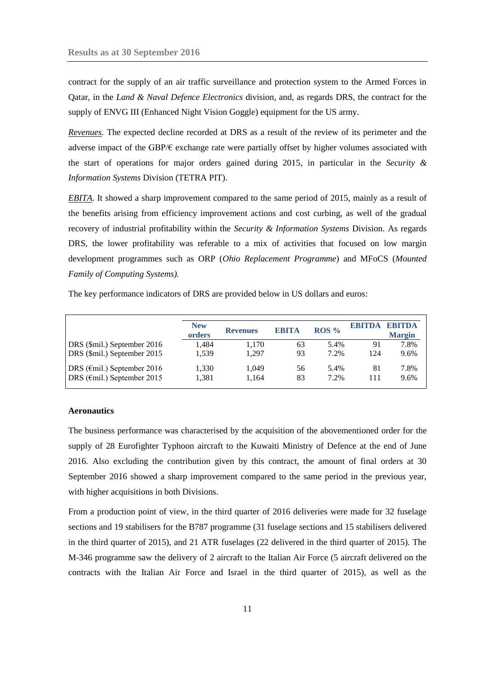contract for the supply of an air traffic surveillance and protection system to the Armed Forces in Qatar, in the *Land & Naval Defence Electronics* division, and, as regards DRS, the contract for the supply of ENVG III (Enhanced Night Vision Goggle) equipment for the US army.

*Revenues.* The expected decline recorded at DRS as a result of the review of its perimeter and the adverse impact of the GBP/ $\epsilon$  exchange rate were partially offset by higher volumes associated with the start of operations for major orders gained during 2015, in particular in the *Security & Information Systems* Division (TETRA PIT).

*EBITA*. It showed a sharp improvement compared to the same period of 2015, mainly as a result of the benefits arising from efficiency improvement actions and cost curbing, as well of the gradual recovery of industrial profitability within the *Security & Information Systems* Division. As regards DRS, the lower profitability was referable to a mix of activities that focused on low margin development programmes such as ORP (*Ohio Replacement Programme*) and MFoCS (*Mounted Family of Computing Systems).*

The key performance indicators of DRS are provided below in US dollars and euros:

|                                       | <b>New</b><br>orders | <b>Revenues</b> | <b>EBITA</b> | ROS <sub>9</sub> | EBITDA | <b>ERITDA</b><br><b>Margin</b> |
|---------------------------------------|----------------------|-----------------|--------------|------------------|--------|--------------------------------|
| DRS (\$mil.) September 2016           | 1.484                | 1,170           | 63           | 5.4%             | 91     | 7.8%                           |
| DRS (\$mil.) September 2015           | 1.539                | 1.297           | 93           | 7.2%             | 124    | 9.6%                           |
| DRS ( $\epsilon$ mil.) September 2016 | 1.330                | 1.049           | 56           | 5.4%             | 81     | 7.8%                           |
| DRS ( $\epsilon$ mil.) September 2015 | 1,381                | 1.164           | 83           | 7.2%             | 111    | 9.6%                           |

#### **Aeronautics**

The business performance was characterised by the acquisition of the abovementioned order for the supply of 28 [Eurofighter Typhoon](http://www.finmeccanica.com/-/eurofighter-typhoon) aircraft to the Kuwaiti Ministry of Defence at the end of June 2016. Also excluding the contribution given by this contract, the amount of final orders at 30 September 2016 showed a sharp improvement compared to the same period in the previous year, with higher acquisitions in both Divisions.

From a production point of view, in the third quarter of 2016 deliveries were made for 32 fuselage sections and 19 stabilisers for the B787 programme (31 fuselage sections and 15 stabilisers delivered in the third quarter of 2015), and 21 ATR fuselages (22 delivered in the third quarter of 2015). The M-346 programme saw the delivery of 2 aircraft to the Italian Air Force (5 aircraft delivered on the contracts with the Italian Air Force and Israel in the third quarter of 2015), as well as the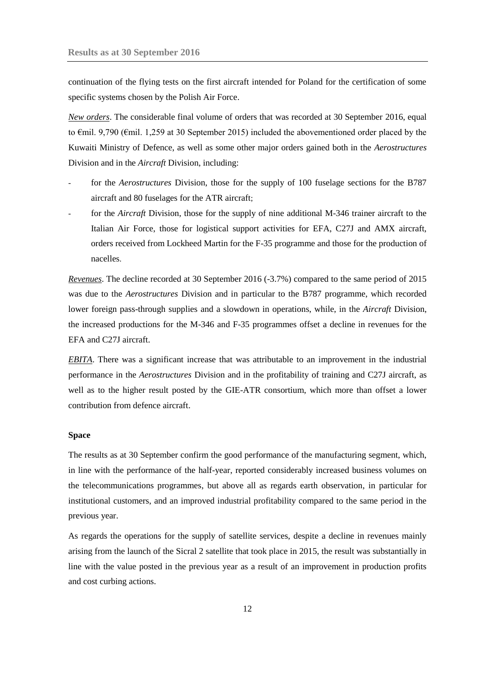continuation of the flying tests on the first aircraft intended for Poland for the certification of some specific systems chosen by the Polish Air Force.

*New orders*. The considerable final volume of orders that was recorded at 30 September 2016, equal to €mil. 9,790 (€mil. 1,259 at 30 September 2015) included the abovementioned order placed by the Kuwaiti Ministry of Defence, as well as some other major orders gained both in the *Aerostructures*  Division and in the *Aircraft* Division, including:

- for the *Aerostructures* Division, those for the supply of 100 fuselage sections for the B787 aircraft and 80 fuselages for the ATR aircraft;
- for the *Aircraft* Division, those for the supply of nine additional M-346 trainer aircraft to the Italian Air Force, those for logistical support activities for EFA, C27J and AMX aircraft, orders received from Lockheed Martin for the F-35 programme and those for the production of nacelles.

*Revenues*. The decline recorded at 30 September 2016 (-3.7%) compared to the same period of 2015 was due to the *Aerostructures* Division and in particular to the B787 programme, which recorded lower foreign pass-through supplies and a slowdown in operations, while, in the *Aircraft* Division, the increased productions for the M-346 and F-35 programmes offset a decline in revenues for the EFA and C27J aircraft.

*EBITA*. There was a significant increase that was attributable to an improvement in the industrial performance in the *Aerostructures* Division and in the profitability of training and C27J aircraft, as well as to the higher result posted by the GIE-ATR consortium, which more than offset a lower contribution from defence aircraft.

### **Space**

The results as at 30 September confirm the good performance of the manufacturing segment, which, in line with the performance of the half-year, reported considerably increased business volumes on the telecommunications programmes, but above all as regards earth observation, in particular for institutional customers, and an improved industrial profitability compared to the same period in the previous year.

As regards the operations for the supply of satellite services, despite a decline in revenues mainly arising from the launch of the Sicral 2 satellite that took place in 2015, the result was substantially in line with the value posted in the previous year as a result of an improvement in production profits and cost curbing actions.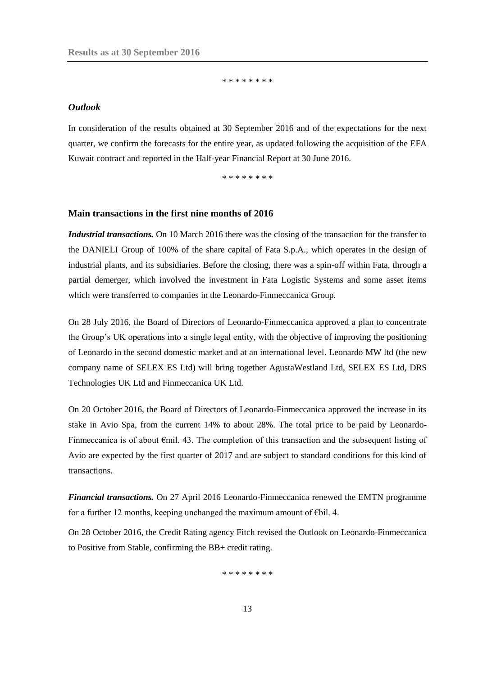\* \* \* \* \* \* \* \*

#### <span id="page-12-0"></span>*Outlook*

In consideration of the results obtained at 30 September 2016 and of the expectations for the next quarter, we confirm the forecasts for the entire year, as updated following the acquisition of the EFA Kuwait contract and reported in the Half-year Financial Report at 30 June 2016.

\* \* \* \* \* \* \* \*

#### <span id="page-12-1"></span>**Main transactions in the first nine months of 2016**

*Industrial transactions.* On 10 March 2016 there was the closing of the transaction for the transfer to the DANIELI Group of 100% of the share capital of Fata S.p.A., which operates in the design of industrial plants, and its subsidiaries. Before the closing, there was a spin-off within Fata, through a partial demerger, which involved the investment in Fata Logistic Systems and some asset items which were transferred to companies in the Leonardo-Finmeccanica Group.

On 28 July 2016, the Board of Directors of Leonardo-Finmeccanica approved a plan to concentrate the Group's UK operations into a single legal entity, with the objective of improving the positioning of Leonardo in the second domestic market and at an international level. Leonardo MW ltd (the new company name of SELEX ES Ltd) will bring together AgustaWestland Ltd, SELEX ES Ltd, DRS Technologies UK Ltd and Finmeccanica UK Ltd.

On 20 October 2016, the Board of Directors of Leonardo-Finmeccanica approved the increase in its stake in Avio Spa, from the current 14% to about 28%. The total price to be paid by Leonardo-Finmeccanica is of about €mil. 43. The completion of this transaction and the subsequent listing of Avio are expected by the first quarter of 2017 and are subject to standard conditions for this kind of transactions.

*Financial transactions.* On 27 April 2016 Leonardo-Finmeccanica renewed the EMTN programme for a further 12 months, keeping unchanged the maximum amount of  $\epsilon$ bil. 4.

On 28 October 2016, the Credit Rating agency Fitch revised the Outlook on Leonardo-Finmeccanica to Positive from Stable, confirming the BB+ credit rating.

\* \* \* \* \* \* \* \*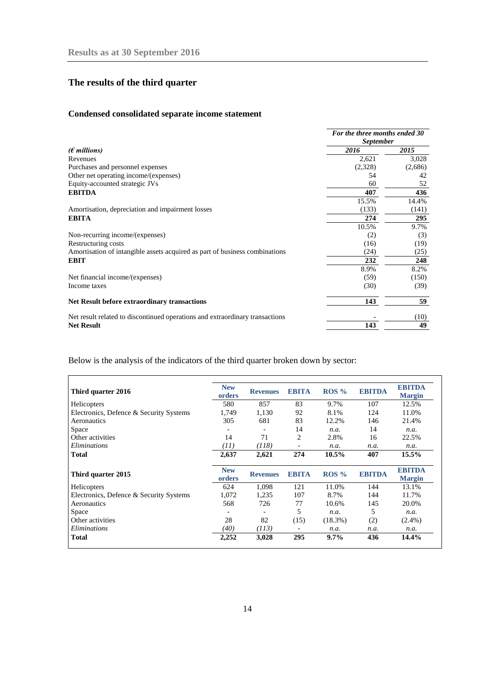# <span id="page-13-0"></span>**The results of the third quarter**

# **Condensed consolidated separate income statement**

|                                                                              | For the three months ended 30<br><b>September</b> |         |
|------------------------------------------------------------------------------|---------------------------------------------------|---------|
| $(\epsilon$ millions)                                                        | 2016                                              | 2015    |
| Revenues                                                                     | 2,621                                             | 3,028   |
| Purchases and personnel expenses                                             | (2,328)                                           | (2,686) |
| Other net operating income/(expenses)                                        | 54                                                | 42      |
| Equity-accounted strategic JVs                                               | 60                                                | 52      |
| <b>EBITDA</b>                                                                | 407                                               | 436     |
|                                                                              | 15.5%                                             | 14.4%   |
| Amortisation, depreciation and impairment losses                             | (133)                                             | (141)   |
| <b>EBITA</b>                                                                 | 274                                               | 295     |
|                                                                              | 10.5%                                             | 9.7%    |
| Non-recurring income/(expenses)                                              | (2)                                               | (3)     |
| Restructuring costs                                                          | (16)                                              | (19)    |
| Amortisation of intangible assets acquired as part of business combinations  | (24)                                              | (25)    |
| <b>EBIT</b>                                                                  | 232                                               | 248     |
|                                                                              | 8.9%                                              | 8.2%    |
| Net financial income/(expenses)                                              | (59)                                              | (150)   |
| Income taxes                                                                 | (30)                                              | (39)    |
| <b>Net Result before extraordinary transactions</b>                          | 143                                               | 59      |
| Net result related to discontinued operations and extraordinary transactions |                                                   | (10)    |
| <b>Net Result</b>                                                            | 143                                               | 49      |

Below is the analysis of the indicators of the third quarter broken down by sector:

| Third quarter 2016                      | <b>New</b><br>orders     | <b>Revenues</b> | <b>EBITA</b>             | $ROS\%$    | <b>EBITDA</b> | <b>EBITDA</b><br><b>Margin</b> |
|-----------------------------------------|--------------------------|-----------------|--------------------------|------------|---------------|--------------------------------|
| Helicopters                             | 580                      | 857             | 83                       | 9.7%       | 107           | 12.5%                          |
| Electronics, Defence & Security Systems | 1,749                    | 1,130           | 92                       | 8.1%       | 124           | 11.0%                          |
| Aeronautics                             | 305                      | 681             | 83                       | 12.2%      | 146           | 21.4%                          |
| Space                                   | $\overline{\phantom{a}}$ |                 | 14                       | n.a.       | 14            | n.a.                           |
| Other activities                        | 14                       | 71              | $\overline{2}$           | 2.8%       | 16            | 22.5%                          |
| Eliminations                            | (11)                     | (118)           | $\overline{\phantom{a}}$ | n.a.       | n.a.          | n.a.                           |
| <b>Total</b>                            | 2,637                    | 2,621           | 274                      | 10.5%      | 407           | 15.5%                          |
|                                         |                          |                 |                          |            |               |                                |
| Third quarter 2015                      | <b>New</b><br>orders     | <b>Revenues</b> | <b>EBITA</b>             | $ROS\%$    | <b>EBITDA</b> | <b>EBITDA</b>                  |
| <b>Helicopters</b>                      | 624                      | 1,098           | 121                      | 11.0%      | 144           | <b>Margin</b><br>13.1%         |
| Electronics, Defence & Security Systems | 1,072                    | 1,235           | 107                      | 8.7%       | 144           | 11.7%                          |
| Aeronautics                             | 568                      | 726             | 77                       | 10.6%      | 145           | 20.0%                          |
| Space                                   |                          |                 | 5                        | n.a.       | 5             | n.a.                           |
| Other activities                        | 28                       | 82              | (15)                     | $(18.3\%)$ | (2)           | $(2.4\%)$                      |
| Eliminations                            | (40)                     | (113)           |                          | n.a.       | n.a.          | n.a.                           |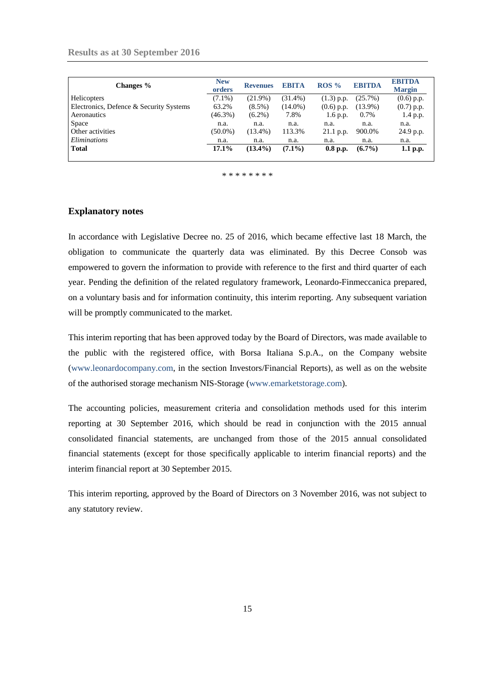| Changes %                               | <b>New</b><br>orders | <b>Revenues</b> | <b>EBITA</b> | $ROS\%$      | <b>EBITDA</b> | <b>EBITDA</b><br><b>Margin</b> |
|-----------------------------------------|----------------------|-----------------|--------------|--------------|---------------|--------------------------------|
| Helicopters                             | $(7.1\%)$            | $(21.9\%)$      | $(31.4\%)$   | $(1.3)$ p.p. | (25.7%)       | $(0.6)$ p.p.                   |
| Electronics, Defence & Security Systems | 63.2%                | $(8.5\%)$       | $(14.0\%)$   | $(0.6)$ p.p. | $(13.9\%)$    | $(0.7)$ p.p.                   |
| Aeronautics                             | $(46.3\%)$           | $(6.2\%)$       | 7.8%         | 1.6 p.p.     | 0.7%          | $1.4$ p.p.                     |
| Space                                   | n.a.                 | n.a.            | n.a.         | n.a.         | n.a.          | n.a.                           |
| Other activities                        | $(50.0\%)$           | $(13.4\%)$      | 113.3%       | $21.1$ p.p.  | 900.0%        | 24.9 p.p.                      |
| <i>Eliminations</i>                     | n.a.                 | n.a.            | n.a.         | n.a.         | n.a.          | n.a.                           |
| <b>Total</b>                            | 17.1%                | $(13.4\%)$      | $(7.1\%)$    | $0.8$ p.p.   | $(6.7\%)$     | $1.1$ p.p.                     |

\* \* \* \* \* \* \*

#### <span id="page-14-0"></span>**Explanatory notes**

In accordance with Legislative Decree no. 25 of 2016, which became effective last 18 March, the obligation to communicate the quarterly data was eliminated. By this Decree Consob was empowered to govern the information to provide with reference to the first and third quarter of each year. Pending the definition of the related regulatory framework, Leonardo-Finmeccanica prepared, on a voluntary basis and for information continuity, this interim reporting. Any subsequent variation will be promptly communicated to the market.

This interim reporting that has been approved today by the Board of Directors, was made available to the public with the registered office, with Borsa Italiana S.p.A., on the Company website [\(www.leonardocompany.com,](http://www.leonardocompany.com/) in the section Investors/Financial Reports), as well as on the website of the authorised storage mechanism NIS-Storage [\(www.emarketstorage.com\)](http://www.emarketstorage.com/).

The accounting policies, measurement criteria and consolidation methods used for this interim reporting at 30 September 2016, which should be read in conjunction with the 2015 annual consolidated financial statements, are unchanged from those of the 2015 annual consolidated financial statements (except for those specifically applicable to interim financial reports) and the interim financial report at 30 September 2015.

This interim reporting, approved by the Board of Directors on 3 November 2016, was not subject to any statutory review.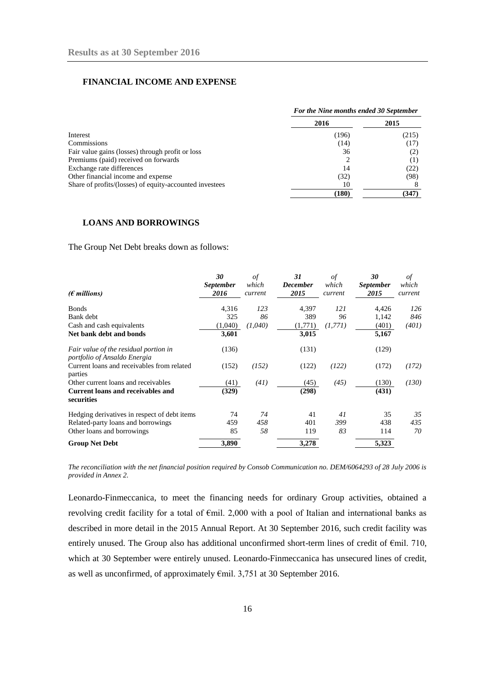## **FINANCIAL INCOME AND EXPENSE**

|                                                         |       | For the Nine months ended 30 September |  |  |
|---------------------------------------------------------|-------|----------------------------------------|--|--|
|                                                         | 2016  | 2015                                   |  |  |
| Interest                                                | (196) | (215)                                  |  |  |
| Commissions                                             | (14)  | (17)                                   |  |  |
| Fair value gains (losses) through profit or loss        | 36    | (2)                                    |  |  |
| Premiums (paid) received on forwards                    |       |                                        |  |  |
| Exchange rate differences                               | 14    | (22)                                   |  |  |
| Other financial income and expense                      | (32)  | (98)                                   |  |  |
| Share of profits/(losses) of equity-accounted investees | 10    |                                        |  |  |
|                                                         | (180) | (347)                                  |  |  |

#### **LOANS AND BORROWINGS**

The Group Net Debt breaks down as follows:

|                                                                       | 30               | of      | 31              | of      | 30               | οf      |
|-----------------------------------------------------------------------|------------------|---------|-----------------|---------|------------------|---------|
|                                                                       | <b>September</b> | which   | <b>December</b> | which   | <i>September</i> | which   |
| $(\epsilon$ millions)                                                 | 2016             | current | 2015            | current | 2015             | current |
| <b>Bonds</b>                                                          | 4,316            | 123     | 4,397           | 121     | 4,426            | 126     |
| Bank debt                                                             | 325              | 86      | 389             | 96      | 1,142            | 846     |
| Cash and cash equivalents                                             | (1,040)          | (1,040) | (1,771)         | (1,771) | (401)            | (401)   |
| Net bank debt and bonds                                               | 3,601            |         | 3,015           |         | 5,167            |         |
| Fair value of the residual portion in<br>portfolio of Ansaldo Energia | (136)            |         | (131)           |         | (129)            |         |
| Current loans and receivables from related<br>parties                 | (152)            | (152)   | (122)           | (122)   | (172)            | (172)   |
| Other current loans and receivables                                   | (41)             | (41)    | (45)            | (45)    | (130)            | (130)   |
| <b>Current loans and receivables and</b><br>securities                | (329)            |         | (298)           |         | (431)            |         |
| Hedging derivatives in respect of debt items                          | 74               | 74      | 41              | 41      | 35               | 35      |
| Related-party loans and borrowings                                    | 459              | 458     | 401             | 399     | 438              | 435     |
| Other loans and borrowings                                            | 85               | 58      | 119             | 83      | 114              | 70      |
| <b>Group Net Debt</b>                                                 | 3,890            |         | 3,278           |         | 5,323            |         |

*The reconciliation with the net financial position required by Consob Communication no. DEM/6064293 of 28 July 2006 is provided in Annex 2.* 

Leonardo-Finmeccanica, to meet the financing needs for ordinary Group activities, obtained a revolving credit facility for a total of €mil. 2,000 with a pool of Italian and international banks as described in more detail in the 2015 Annual Report. At 30 September 2016, such credit facility was entirely unused. The Group also has additional unconfirmed short-term lines of credit of €mil. 710, which at 30 September were entirely unused. Leonardo-Finmeccanica has unsecured lines of credit, as well as unconfirmed, of approximately  $\epsilon$ mil. 3,751 at 30 September 2016.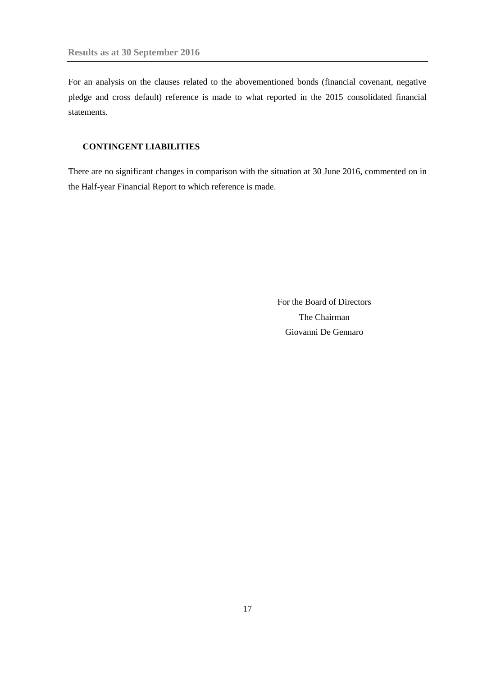For an analysis on the clauses related to the abovementioned bonds (financial covenant, negative pledge and cross default) reference is made to what reported in the 2015 consolidated financial statements.

## **CONTINGENT LIABILITIES**

There are no significant changes in comparison with the situation at 30 June 2016, commented on in the Half-year Financial Report to which reference is made.

> For the Board of Directors The Chairman Giovanni De Gennaro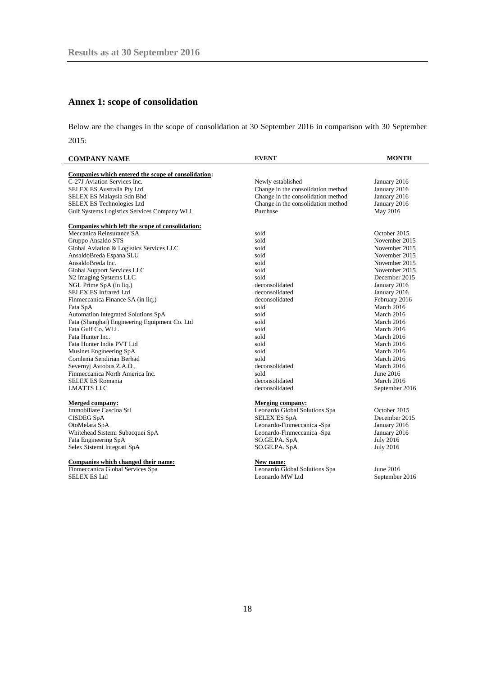# <span id="page-17-0"></span>**Annex 1: scope of consolidation**

Below are the changes in the scope of consolidation at 30 September 2016 in comparison with 30 September 2015:

| <b>COMPANY NAME</b>                                         | <b>EVENT</b>                       | <b>MONTH</b>     |
|-------------------------------------------------------------|------------------------------------|------------------|
| Companies which entered the scope of consolidation:         |                                    |                  |
| C-27J Aviation Services Inc.                                | Newly established                  | January 2016     |
| SELEX ES Australia Pty Ltd                                  | Change in the consolidation method | January 2016     |
| SELEX ES Malaysia Sdn Bhd                                   | Change in the consolidation method | January 2016     |
|                                                             | Change in the consolidation method |                  |
| SELEX ES Technologies Ltd                                   | Purchase                           | January 2016     |
| Gulf Systems Logistics Services Company WLL                 |                                    | May 2016         |
| Companies which left the scope of consolidation:            |                                    |                  |
| Meccanica Reinsurance SA                                    | sold                               | October 2015     |
| Gruppo Ansaldo STS                                          | sold                               | November 2015    |
| Global Aviation & Logistics Services LLC                    | sold                               | November 2015    |
| AnsaldoBreda Espana SLU                                     | sold                               | November 2015    |
| AnsaldoBreda Inc.                                           | sold                               | November 2015    |
| Global Support Services LLC                                 | sold                               | November 2015    |
| N2 Imaging Systems LLC                                      | sold                               | December 2015    |
| NGL Prime SpA (in liq.)                                     | deconsolidated                     | January 2016     |
| <b>SELEX ES Infrared Ltd</b>                                | deconsolidated                     | January 2016     |
| Finmeccanica Finance SA (in liq.)                           | deconsolidated                     | February 2016    |
| Fata SpA                                                    | sold                               | March 2016       |
| Automation Integrated Solutions SpA                         | sold                               | March 2016       |
| Fata (Shanghai) Engineering Equipment Co. Ltd               | sold                               | March 2016       |
| Fata Gulf Co. WLL                                           | sold                               | March 2016       |
| Fata Hunter Inc.                                            | sold                               | March 2016       |
| Fata Hunter India PVT Ltd                                   | sold                               | March 2016       |
| Musinet Engineering SpA                                     | sold                               | March 2016       |
| Comlenia Sendirian Berhad                                   | sold                               | March 2016       |
|                                                             | deconsolidated                     | March 2016       |
| Severnyj Avtobus Z.A.O.,<br>Finmeccanica North America Inc. | sold                               |                  |
|                                                             | deconsolidated                     | June 2016        |
| SELEX ES Romania                                            |                                    | March 2016       |
| <b>LMATTS LLC</b>                                           | deconsolidated                     | September 2016   |
| <b>Merged company:</b>                                      | <b>Merging company:</b>            |                  |
| Immobiliare Cascina Srl                                     | Leonardo Global Solutions Spa      | October 2015     |
| <b>CISDEG SpA</b>                                           | <b>SELEX ES SpA</b>                | December 2015    |
| OtoMelara SpA                                               | Leonardo-Finmeccanica -Spa         | January 2016     |
| Whitehead Sistemi Subacquei SpA                             | Leonardo-Finmeccanica -Spa         | January 2016     |
| Fata Engineering SpA                                        | SO.GE.PA. SpA                      | <b>July 2016</b> |
| Selex Sistemi Integrati SpA                                 | SO.GE.PA. SpA                      | <b>July 2016</b> |
| Companies which changed their name:                         | New name:                          |                  |
| Finmeccanica Global Services Spa                            | Leonardo Global Solutions Spa      | June 2016        |
| <b>SELEX ES Ltd</b>                                         | Leonardo MW Ltd                    |                  |
|                                                             |                                    | September 2016   |
|                                                             |                                    |                  |
|                                                             |                                    |                  |
|                                                             |                                    |                  |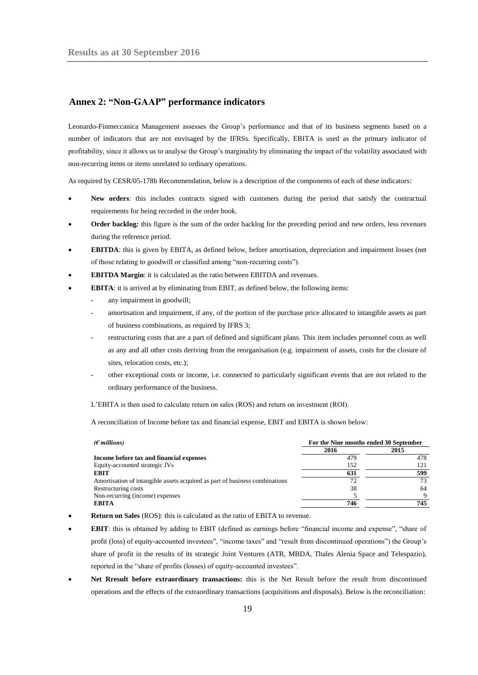## <span id="page-18-0"></span>**Annex 2: "Non-GAAP" performance indicators**

Leonardo-Finmeccanica Management assesses the Group's performance and that of its business segments based on a number of indicators that are not envisaged by the IFRSs. Specifically, EBITA is used as the primary indicator of profitability, since it allows us to analyse the Group's marginality by eliminating the impact of the volatility associated with non-recurring items or items unrelated to ordinary operations.

As required by CESR/05-178b Recommendation, below is a description of the components of each of these indicators:

- **New orders**: this includes contracts signed with customers during the period that satisfy the contractual requirements for being recorded in the order book.
- **Order backlog***:* this figure is the sum of the order backlog for the preceding period and new orders, less revenues during the reference period.
- **EBITDA**: this is given by EBITA, as defined below, before amortisation, depreciation and impairment losses (net of those relating to goodwill or classified among "non-recurring costs").
- **EBITDA Margin**: it is calculated as the ratio between EBITDA and revenues.
- **EBITA**: it is arrived at by eliminating from EBIT, as defined below, the following items:
	- any impairment in goodwill;
	- amortisation and impairment, if any, of the portion of the purchase price allocated to intangible assets as part of business combinations, as required by IFRS 3;
	- restructuring costs that are a part of defined and significant plans. This item includes personnel costs as well as any and all other costs deriving from the reorganisation (e.g. impairment of assets, costs for the closure of sites, relocation costs, etc.);
	- other exceptional costs or income, i.e. connected to particularly significant events that are not related to the ordinary performance of the business.

L'EBITA is then used to calculate return on sales (ROS) and return on investment (ROI).

A reconciliation of Income before tax and financial expense, EBIT and EBITA is shown below:

| ( $\epsilon$ millions)                                                      | For the Nine months ended 30 September |      |  |
|-----------------------------------------------------------------------------|----------------------------------------|------|--|
|                                                                             | 2016                                   | 2015 |  |
| Income before tax and financial expenses                                    | 479                                    | 478  |  |
| Equity-accounted strategic JVs                                              | 152                                    | 121  |  |
| <b>EBIT</b>                                                                 | 631                                    | 599  |  |
| Amortisation of intangible assets acquired as part of business combinations | 72                                     | 73   |  |
| Restructuring costs                                                         | 38                                     | 64   |  |
| Non-recurring (income) expenses                                             |                                        | Q    |  |
| <b>EBITA</b>                                                                | 746                                    | 745  |  |

**Return on Sales** (ROS): this is calculated as the ratio of EBITA to revenue.

- **EBIT**: this is obtained by adding to EBIT (defined as earnings before "financial income and expense", "share of profit (loss) of equity-accounted investees", "income taxes" and "result from discontinued operations") the Group's share of profit in the results of its strategic Joint Ventures (ATR, MBDA, Thales Alenia Space and Telespazio), reported in the "share of profits (losses) of equity-accounted investees".
- **Net Rresult before extraordinary transactions:** this is the Net Result before the result from discontinued operations and the effects of the extraordinary transactions (acquisitions and disposals). Below is the reconciliation: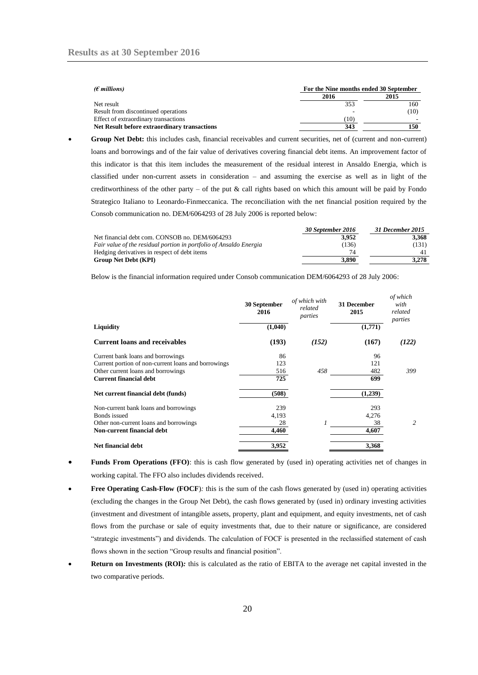| ( $\epsilon$ millions)                       | For the Nine months ended 30 September |      |  |
|----------------------------------------------|----------------------------------------|------|--|
|                                              | 2016                                   | 2015 |  |
| Net result                                   | 353                                    | 160  |  |
| Result from discontinued operations          |                                        | (10) |  |
| Effect of extraordinary transactions         | (10)                                   |      |  |
| Net Result before extraordinary transactions | 343                                    | 150  |  |

 **Group Net Debt:** this includes cash, financial receivables and current securities, net of (current and non-current) loans and borrowings and of the fair value of derivatives covering financial debt items. An improvement factor of this indicator is that this item includes the measurement of the residual interest in Ansaldo Energia, which is classified under non-current assets in consideration – and assuming the exercise as well as in light of the creditworthiness of the other party – of the put  $\&$  call rights based on which this amount will be paid by Fondo Strategico Italiano to Leonardo-Finmeccanica. The reconciliation with the net financial position required by the Consob communication no. DEM/6064293 of 28 July 2006 is reported below:

|                                                                    | 30 September 2016 | 31 December 2015 |
|--------------------------------------------------------------------|-------------------|------------------|
| Net financial debt com. CONSOB no. DEM/6064293                     | 3.952             | 3.368            |
| Fair value of the residual portion in portfolio of Ansaldo Energia | (136)             | (131)            |
| Hedging derivatives in respect of debt items                       |                   |                  |
| <b>Group Net Debt (KPI)</b>                                        | 3.890             | 3.278            |

Below is the financial information required under Consob communication DEM/6064293 of 28 July 2006:

|                                                     | 30 September<br>2016 | of which with<br>related<br>parties | 31 December<br>2015 | of which<br>with<br>related<br>parties |
|-----------------------------------------------------|----------------------|-------------------------------------|---------------------|----------------------------------------|
| <b>Liquidity</b>                                    | (1,040)              |                                     | (1,771)             |                                        |
| Current loans and receivables                       | (193)                | (152)                               | (167)               | (122)                                  |
| Current bank loans and borrowings                   | 86                   |                                     | 96                  |                                        |
| Current portion of non-current loans and borrowings | 123                  |                                     | 121                 |                                        |
| Other current loans and borrowings                  | 516                  | 458                                 | 482                 | 399                                    |
| <b>Current financial debt</b>                       | 725                  |                                     | 699                 |                                        |
| Net current financial debt (funds)                  | (508)                |                                     | (1,239)             |                                        |
| Non-current bank loans and borrowings               | 239                  |                                     | 293                 |                                        |
| Bonds issued                                        | 4,193                |                                     | 4,276               |                                        |
| Other non-current loans and borrowings              | 28                   |                                     | 38                  | 2                                      |
| <b>Non-current financial debt</b>                   | 4,460                |                                     | 4,607               |                                        |
| <b>Net financial debt</b>                           | 3,952                |                                     | 3,368               |                                        |

- **Funds From Operations (FFO)**: this is cash flow generated by (used in) operating activities net of changes in working capital. The FFO also includes dividends received.
- **Free Operating Cash-Flow (FOCF**)*:* this is the sum of the cash flows generated by (used in) operating activities (excluding the changes in the Group Net Debt), the cash flows generated by (used in) ordinary investing activities (investment and divestment of intangible assets, property, plant and equipment, and equity investments, net of cash flows from the purchase or sale of equity investments that, due to their nature or significance, are considered "strategic investments") and dividends. The calculation of FOCF is presented in the reclassified statement of cash flows shown in the section "Group results and financial position".
- **Return on Investments (ROI)***:* this is calculated as the ratio of EBITA to the average net capital invested in the two comparative periods.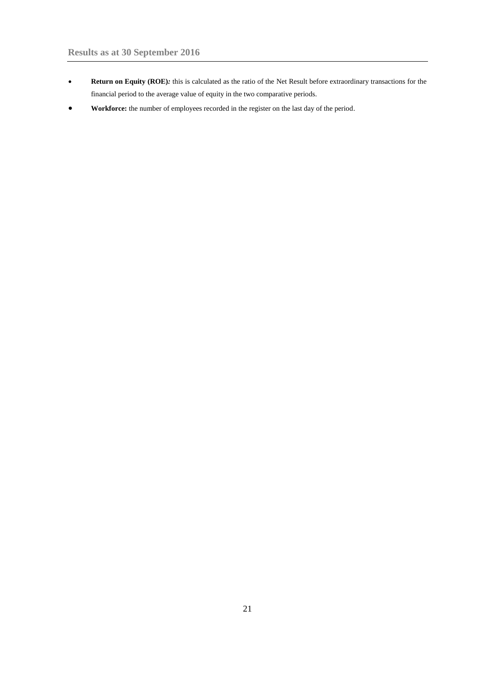- **Return on Equity (ROE)***:* this is calculated as the ratio of the Net Result before extraordinary transactions for the financial period to the average value of equity in the two comparative periods.
- **Workforce:** the number of employees recorded in the register on the last day of the period.